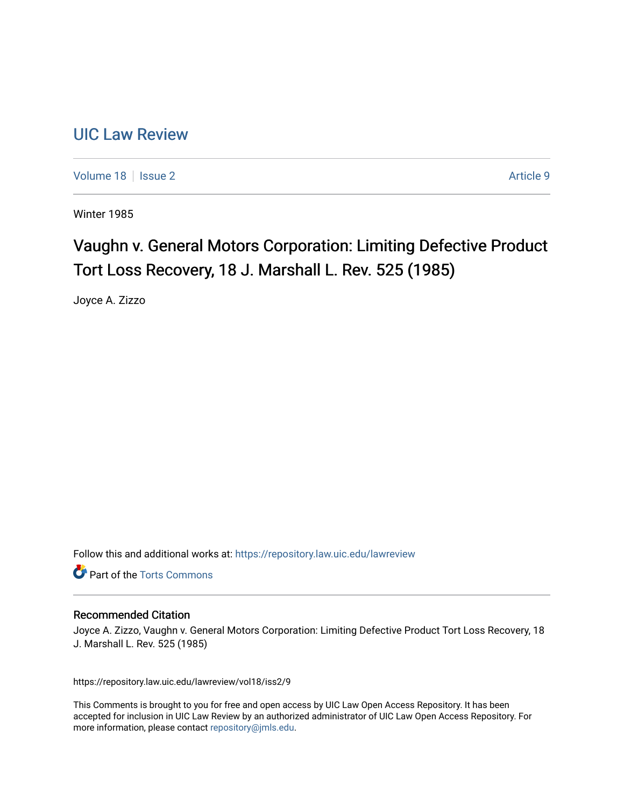## [UIC Law Review](https://repository.law.uic.edu/lawreview)

[Volume 18](https://repository.law.uic.edu/lawreview/vol18) | [Issue 2](https://repository.law.uic.edu/lawreview/vol18/iss2) Article 9

Winter 1985

# Vaughn v. General Motors Corporation: Limiting Defective Product Tort Loss Recovery, 18 J. Marshall L. Rev. 525 (1985)

Joyce A. Zizzo

Follow this and additional works at: [https://repository.law.uic.edu/lawreview](https://repository.law.uic.edu/lawreview?utm_source=repository.law.uic.edu%2Flawreview%2Fvol18%2Fiss2%2F9&utm_medium=PDF&utm_campaign=PDFCoverPages) 

**Part of the [Torts Commons](http://network.bepress.com/hgg/discipline/913?utm_source=repository.law.uic.edu%2Flawreview%2Fvol18%2Fiss2%2F9&utm_medium=PDF&utm_campaign=PDFCoverPages)** 

#### Recommended Citation

Joyce A. Zizzo, Vaughn v. General Motors Corporation: Limiting Defective Product Tort Loss Recovery, 18 J. Marshall L. Rev. 525 (1985)

https://repository.law.uic.edu/lawreview/vol18/iss2/9

This Comments is brought to you for free and open access by UIC Law Open Access Repository. It has been accepted for inclusion in UIC Law Review by an authorized administrator of UIC Law Open Access Repository. For more information, please contact [repository@jmls.edu.](mailto:repository@jmls.edu)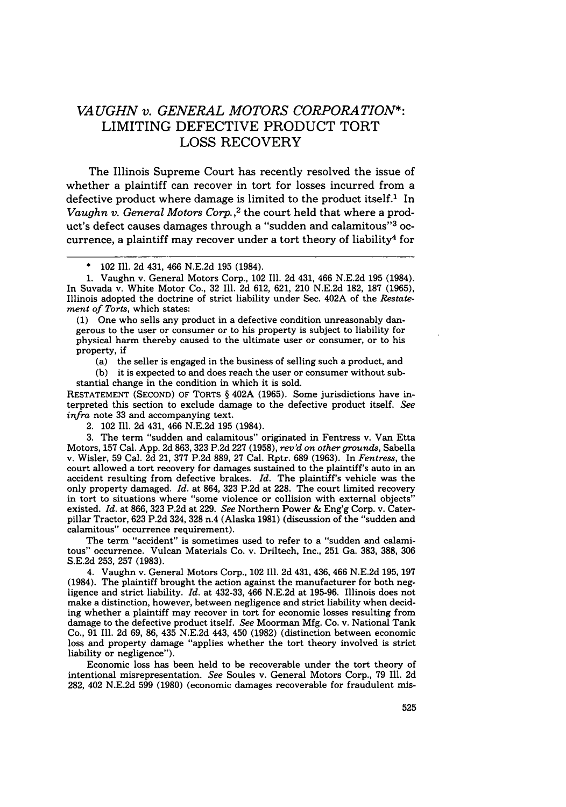### *VAUGHN v. GENERAL MOTORS CORPORA TION\*:* LIMITING DEFECTIVE PRODUCT TORT **LOSS** RECOVERY

The Illinois Supreme Court has recently resolved the issue of whether a plaintiff can recover in tort for losses incurred from a defective product where damage is limited to the product itself.<sup>1</sup> In *Vaughn v. General Motors Corp.*<sup>2</sup> the court held that where a product's defect causes damages through a "sudden and calamitous"<sup>3</sup> occurrence, a plaintiff may recover under a tort theory of liability<sup>4</sup> for

(1) One who sells any product in a defective condition unreasonably dangerous to the user or consumer or to his property is subject to liability for physical harm thereby caused to the ultimate user or consumer, or to his property, if

(a) the seller is engaged in the business of selling such a product, and

(b) it is expected to and does reach the user or consumer without substantial change in the condition in which it is sold.

RESTATEMENT (SECOND) OF TORTS § 402A (1965). Some jurisdictions have interpreted this section to exclude damage to the defective product itself. *See infra* note 33 and accompanying text.

2. 102 Ill. 2d 431, 466 N.E.2d 195 (1984).

3. The term "sudden and calamitous" originated in Fentress v. Van Etta Motors, 157 Cal. App. 2d 863, 323 P.2d 227 (1958), *rev'd on other grounds,* Sabella v. Wisler, 59 Cal. 2d 21, 377 P.2d 889, 27 Cal. Rptr. **689** (1963). In *Fentress,* the court allowed a tort recovery for damages sustained to the plaintiff's auto in an accident resulting from defective brakes. *Id.* The plaintiff's vehicle was the only property damaged. *Id.* at 864, 323 P.2d at 228. The court limited recovery in tort to situations where "some violence or collision with external objects" existed. *Id.* at 866, 323 P.2d at 229. *See* Northern Power & Eng'g Corp. v. Caterpillar Tractor, 623 P.2d 324, **328** n.4 (Alaska 1981) (discussion of the "sudden and calamitous" occurrence requirement).

The term "accident" is sometimes used to refer to a "sudden and calamitous" occurrence. Vulcan Materials Co. v. Driltech, Inc., 251 Ga. 383, 388, 306 S.E.2d 253, 257 (1983).

4. Vaughn v. General Motors Corp., 102 Ill. 2d 431, 436, 466 N.E.2d 195, 197 (1984). The plaintiff brought the action against the manufacturer for both negligence and strict liability. *Id.* at 432-33, 466 N.E.2d at 195-96. Illinois does not make a distinction, however, between negligence and strict liability when deciding whether a plaintiff may recover in tort for economic losses resulting from damage to the defective product itself. *See* Moorman Mfg. Co. v. National Tank Co., 91 Ill. **2d** 69, 86, 435 N.E.2d 443, 450 (1982) (distinction between economic loss and property damage "applies whether the tort theory involved is strict liability or negligence").

Economic loss has been held to be recoverable under the tort theory of intentional misrepresentation. *See* Soules v. General Motors Corp., 79 Ill. 2d 282, 402 N.E.2d 599 (1980) (economic damages recoverable for fraudulent mis-

<sup>\*</sup> 102 Ill. 2d 431, 466 N.E.2d 195 (1984).

<sup>1.</sup> Vaughn v. General Motors Corp., 102 Ill. 2d 431, 466 N.E.2d 195 (1984). In Suvada v. White Motor Co., 32 Ill. 2d 612, 621, 210 N.E.2d 182, 187 (1965), Illinois adopted the doctrine of strict liability under Sec. 402A of the *Restatement of Torts,* which states: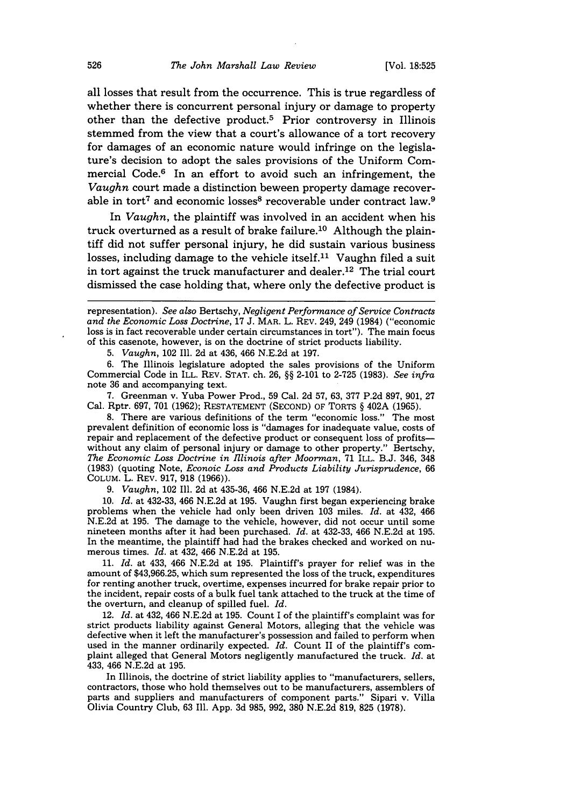all losses that result from the occurrence. This is true regardless of whether there is concurrent personal injury or damage to property other than the defective product.5 Prior controversy in Illinois stemmed from the view that a court's allowance of a tort recovery for damages of an economic nature would infringe on the legislature's decision to adopt the sales provisions of the Uniform Commercial Code.<sup>6</sup> In an effort to avoid such an infringement, the *Vaughn* court made a distinction beween property damage recoverable in tort<sup>7</sup> and economic losses<sup>8</sup> recoverable under contract law.<sup>9</sup>

In *Vaughn,* the plaintiff was involved in an accident when his truck overturned as a result of brake failure.<sup>10</sup> Although the plaintiff did not suffer personal injury, he did sustain various business losses, including damage to the vehicle itself.<sup>11</sup> Vaughn filed a suit in tort against the truck manufacturer and dealer.<sup>12</sup> The trial court dismissed the case holding that, where only the defective product is

representation). *See also* Bertschy, *Negligent Performance of Service Contracts and the Economic Loss Doctrine,* 17 J. MAR. L. REV. 249, 249 (1984) ("economic loss is in fact recoverable under certain circumstances in tort"). The main focus of this casenote, however, is on the doctrine of strict products liability.

5. *Vaughn,* 102 Ill. 2d at 436, 466 N.E.2d at 197.

6. The Illinois legislature adopted the sales provisions of the Uniform Commercial Code in ILL. REV. STAT. ch. 26, §§ 2-101 to 2-725 (1983). *See infra* note 36 and accompanying text.

7. Greenman v. Yuba Power Prod., 59 Cal. 2d 57, 63, 377 P.2d 897, 901, 27 Cal. Rptr. 697, 701 (1962); RESTATEMENT (SECOND) OF TORTS § 402A (1965).

8. There are various definitions of the term "economic loss." The most prevalent definition of economic loss is "damages for inadequate value, costs of repair and replacement of the defective product or consequent loss of profitswithout any claim of personal injury or damage to other property." Bertschy, *The Economic Loss Doctrine in fllinois after Moorman,* 71 ILL. B.J. 346, 348 (1983) (quoting Note, *Econoic Loss and Products Liability Jurisprudence,* <sup>66</sup> COLUM. L. REV. 917, **918** (1966)).

9. *Vaughn,* 102 Ill. 2d at 435-36, 466 N.E.2d at 197 (1984).

10. *Id.* at 432-33, 466 N.E.2d at 195. Vaughn first began experiencing brake problems when the vehicle had only been driven 103 miles. *Id.* at 432, 466 nineteen months after it had been purchased. *Id.* at 432-33, 466 N.E.2d at 195. In the meantime, the plaintiff had had the brakes checked and worked on nu- merous times. *Id.* at 432, 466 N.E.2d at 195.

11. *Id.* at 433, 466 N.E.2d at 195. Plaintiff's prayer for relief was in the amount of \$43,966.25, which sum represented the loss of the truck, expenditures for renting another truck, overtime, expenses incurred for brake repair prior to the incident, repair costs of a bulk fuel tank attached to the truck at the time of the overturn, and cleanup of spilled fuel. *Id.*

12. *Id.* at 432, 466 N.E.2d at 195. Count I of the plaintiff's complaint was for strict products liability against General Motors, alleging that the vehicle was defective when it left the manufacturer's possession and failed to perform when used in the manner ordinarily expected. *Id.* Count II of the plaintiff's com-<br>plaint alleged that General Motors negligently manufactured the truck. *Id.* at 433, 466 N.E.2d at 195.

In Illinois, the doctrine of strict liability applies to "manufacturers, sellers, contractors, those who hold themselves out to be manufacturers, assemblers of parts and suppliers and manufacturers of component parts." Sipari v. Villa Olivia Country Club, 63 Ill. App. 3d 985, 992, 380 N.E.2d 819, 825 (1978).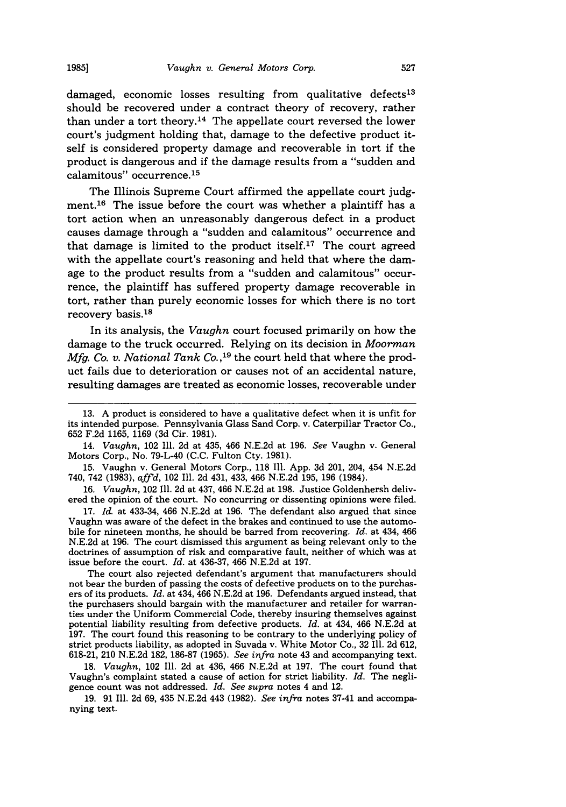damaged, economic losses resulting from qualitative defects<sup>13</sup> should be recovered under a contract theory of recovery, rather than under a tort theory.<sup>14</sup> The appellate court reversed the lower court's judgment holding that, damage to the defective product itself is considered property damage and recoverable in tort if the product is dangerous and if the damage results from a "sudden and calamitous" occurrence.<sup>15</sup>

The Illinois Supreme Court affirmed the appellate court judgment.16 The issue before the court was whether a plaintiff has a tort action when an unreasonably dangerous defect in a product causes damage through a "sudden and calamitous" occurrence and that damage is limited to the product itself.<sup>17</sup> The court agreed with the appellate court's reasoning and held that where the damage to the product results from a "sudden and calamitous" occurrence, the plaintiff has suffered property damage recoverable in tort, rather than purely economic losses for which there is no tort recovery basis.<sup>18</sup>

In its analysis, the *Vaughn* court focused primarily on how the damage to the truck occurred. Relying on its decision in Moorman *Mfg. Co. v. National Tank Co.,19* the court held that where the product fails due to deterioration or causes not of an accidental nature, resulting damages are treated as economic losses, recoverable under

15. Vaughn v. General Motors Corp., 118 Ill. App. 3d 201, 204, 454 N.E.2d 740, 742 (1983), *affd,* 102 Ill. 2d 431, 433, 466 N.E.2d 195, 196 (1984).

16. *Vaughn,* 102 Ill. 2d at 437, 466 N.E.2d at 198. Justice Goldenhersh delivered the opinion of the court. No concurring or dissenting opinions were filed.

17. *Id.* at 433-34, 466 N.E.2d at 196. The defendant also argued that since Vaughn was aware of the defect in the brakes and continued to use the automobile for nineteen months, he should be barred from recovering. *Id.* at 434, 466 N.E.2d at 196. The court dismissed this argument as being relevant only to the doctrines of assumption of risk and comparative fault, neither of which was at issue before the court. *Id.* at 436-37, 466 N.E.2d at 197.

The court also rejected defendant's argument that manufacturers should not bear the burden of passing the costs of defective products on to the purchas- ers of its products. *Id.* at 434, 466 N.E.2d at 196. Defendants argued instead, that the purchasers should bargain with the manufacturer and retailer for warran- ties under the Uniform Commercial Code, thereby insuring themselves against potential liability resulting from defective products. *Id.* at 434, 466 N.E.2d at 197. The court found this reasoning to be contrary to the underlying policy of strict products liability, as adopted in Suvada v. White Motor Co., 32 Ill. 2d 612, 618-21, 210 N.E.2d 182, 186-87 (1965). *See infra* note 43 and accompanying text.

18. *Vaughn,* 102 Ill. 2d at 436, 466 N.E.2d at 197. The court found that Vaughn's complaint stated a cause of action for strict liability. *Id.* The negligence count was not addressed. *Id. See supra* notes 4 and 12.

19. 91 Ill. 2d 69, 435 N.E.2d 443 (1982). *See infra* notes 37-41 and accompanying text.

<sup>13.</sup> A product is considered to have a qualitative defect when it is unfit for its intended purpose. Pennsylvania Glass Sand Corp. v. Caterpillar Tractor Co., 652 F.2d 1165, 1169 (3d Cir. 1981).

<sup>14.</sup> *Vaughn,* 102 **111.** 2d at 435, 466 N.E.2d at 196. *See* Vaughn v. General Motors Corp., No. 79-L-40 (C.C. Fulton Cty. 1981).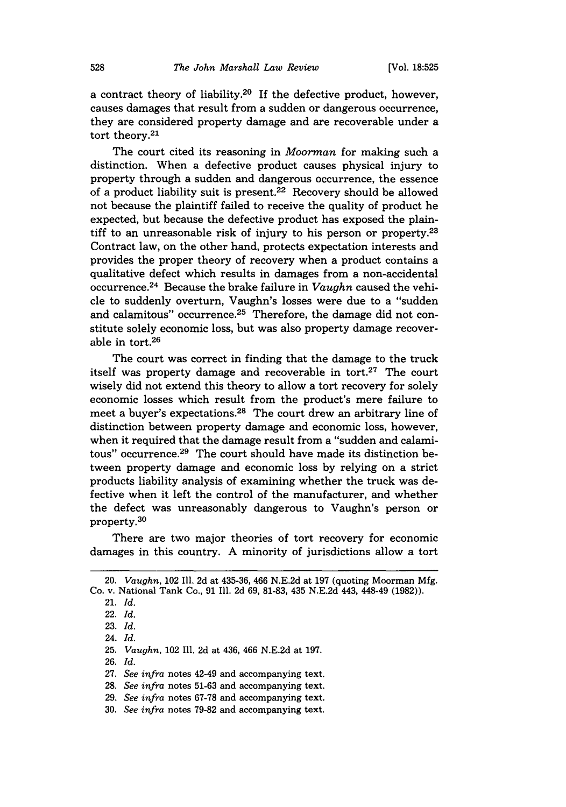a contract theory of liability.20 If the defective product, however, causes damages that result from a sudden or dangerous occurrence, they are considered property damage and are recoverable under a tort theory.<sup>21</sup>

The court cited its reasoning in *Moorman* for making such a distinction. When a defective product causes physical injury to property through a sudden and dangerous occurrence, the essence of a product liability suit is present.22 Recovery should be allowed not because the plaintiff failed to receive the quality of product he expected, but because the defective product has exposed the plaintiff to an unreasonable risk of injury to his person or property. $23$ Contract law, on the other hand, protects expectation interests and provides the proper theory of recovery when a product contains a qualitative defect which results in damages from a non-accidental occurrence. 24 Because the brake failure in *Vaughn* caused the vehicle to suddenly overturn, Vaughn's losses were due to a "sudden and calamitous" occurrence.<sup>25</sup> Therefore, the damage did not constitute solely economic loss, but was also property damage recoverable in tort.26

The court was correct in finding that the damage to the truck itself was property damage and recoverable in tort.<sup>27</sup> The court wisely did not extend this theory to allow a tort recovery for solely economic losses which result from the product's mere failure to meet a buyer's expectations.<sup>28</sup> The court drew an arbitrary line of distinction between property damage and economic loss, however, when it required that the damage result from a "sudden and calamitous" occurrence.<sup>29</sup> The court should have made its distinction between property damage and economic loss by relying on a strict products liability analysis of examining whether the truck was defective when it left the control of the manufacturer, and whether the defect was unreasonably dangerous to Vaughn's person or property.<sup>30</sup>

There are two major theories of tort recovery for economic damages in this country. A minority of jurisdictions allow a tort

<sup>20.</sup> *Vaughn,* 102 Ill. 2d at 435-36, 466 N.E.2d at 197 (quoting Moorman Mfg. Co. v. National Tank Co., 91 Ill. 2d 69, 81-83, 435 N.E.2d 443, 448-49 (1982)).

<sup>21.</sup> *Id.*

<sup>22.</sup> *Id.*

<sup>23.</sup> *Id.*

<sup>24.</sup> *Id.*

<sup>25.</sup> *Vaughn,* 102 Ill. 2d at 436, 466 N.E.2d at 197.

<sup>26.</sup> *Id.*

<sup>27.</sup> *See infra* notes 42-49 and accompanying text.

<sup>28.</sup> *See infra* notes 51-63 and accompanying text.

<sup>29.</sup> *See infra* notes 67-78 and accompanying text.

<sup>30.</sup> *See infra* notes 79-82 and accompanying text.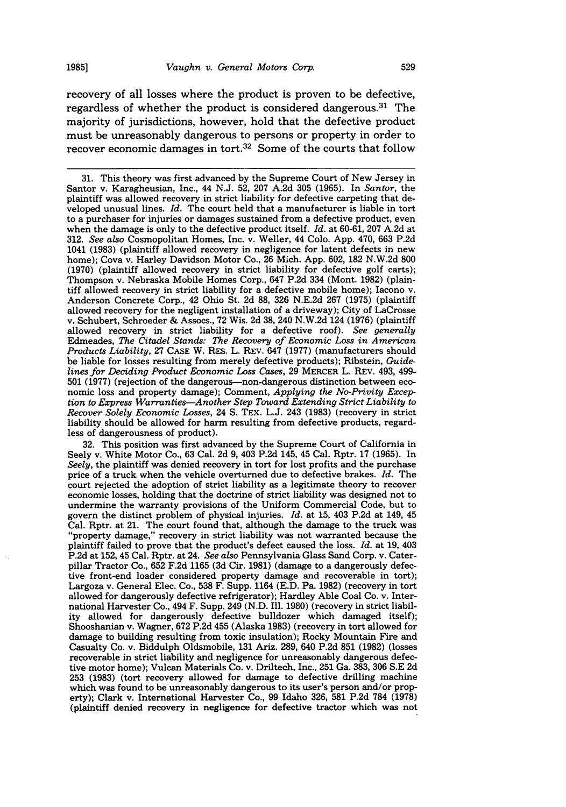recovery of all losses where the product is proven to be defective, regardless of whether the product is considered dangerous.<sup>31</sup> The majority of jurisdictions, however, hold that the defective product must be unreasonably dangerous to persons or property in order to recover economic damages in tort.<sup>32</sup> Some of the courts that follow

32. This position was first advanced by the Supreme Court of California in Seely v. White Motor Co., 63 Cal. 2d 9, 403 P.2d 145, 45 Cal. Rptr. 17 (1965). In *Seely,* the plaintiff was denied recovery in tort for lost profits and the purchase price of a truck when the vehicle overturned due to defective brakes. *Id.* The court rejected the adoption of strict liability as a legitimate theory to recover economic losses, holding that the doctrine of strict liability was designed not to undermine the warranty provisions of the Uniform Commercial Code, but to govern the distinct problem of physical injuries. *Id.* at 15, 403 P.2d at 149, 45 Cal. Rptr. at 21. The court found that, although the damage to the truck was "property damage," recovery in strict liability was not warranted because the plaintiff failed to prove that the product's defect caused the loss. *Id.* at 19, 403 P.2d at 152, 45 Cal. Rptr. at 24. *See also* Pennsylvania Glass Sand Corp. v. Caterpillar Tractor Co., 652 F.2d 1165 (3d Cir. **1981)** (damage to a dangerously defective front-end loader considered property damage and recoverable in tort); Largoza v. General Elec. Co., 538 F. Supp. 1164 (E.D. Pa. 1982) (recovery in tort allowed for dangerously defective refrigerator); Hardley Able Coal Co. v. International Harvester Co., 494 F. Supp. 249 (N.D. Ill. 1980) (recovery in strict liability allowed for dangerously defective bulldozer which damaged itself); Shooshanian v. Wagner, 672 P.2d 455 (Alaska 1983) (recovery in tort allowed for damage to building resulting from toxic insulation); Rocky Mountain Fire and Casualty Co. v. Biddulph Oldsmobile, 131 Ariz. 289, 640 P.2d **851** (1982) (losses recoverable in strict liability and negligence for unreasonably dangerous defective motor home); Vulcan Materials Co. v. Driltech, Inc., 251 Ga. 383, 306 S.E 2d 253 (1983) (tort recovery allowed for damage to defective drilling machine which was found to be unreasonably dangerous to its user's person and/or property); Clark v. International Harvester Co., 99 Idaho 326, 581 P.2d **784** (1978) (plaintiff denied recovery in negligence for defective tractor which was not

<sup>31.</sup> This theory was first advanced by the Supreme Court of New Jersey in Santor v. Karagheusian, Inc., 44 N.J. 52, 207 A.2d 305 (1965). In *Santor,* the plaintiff was allowed recovery in strict liability for defective carpeting that developed unusual lines. *Id.* The court held that a manufacturer is liable in tort to a purchaser for injuries or damages sustained from a defective product, even when the damage is only to the defective product itself. *Id.* at 60-61, 207 A.2d at 312. *See also* Cosmopolitan Homes, Inc. v. Weller, 44 Colo. App. 470, 663 P.2d 1041 (1983) (plaintiff allowed recovery in negligence for latent defects in new home); Cova v. Harley Davidson Motor Co., 26 Mich. App. 602, **182** N.W.2d 800 (1970) (plaintiff allowed recovery in strict liability for defective golf carts); Thompson v. Nebraska Mobile Homes Corp., 647 P.2d 334 (Mont. 1982) (plaintiff allowed recovery in strict liability for a defective mobile home); Iacono v. Anderson Concrete Corp., 42 Ohio St. 2d 88, 326 N.E.2d 267 (1975) (plaintiff allowed recovery for the negligent installation of a driveway); City of LaCrosse v. Schubert, Schroeder & Assocs., 72 Wis. 2d **38,** 240 N.W.2d 124 (1976) (plaintiff allowed recovery in strict liability for a defective roof). *See generally* Edmeades, *The Citadel Stands: The Recovery of Economic Loss in American Products Liability,* 27 CASE W. RES. L. REV. 647 (1977) (manufacturers should be liable for losses resulting from merely defective products); Ribstein, *Guidelines for Deciding Product Economic Loss Cases,* 29 MERCER L. REV. 493, 499- 501 (1977) (rejection of the dangerous-non-dangerous distinction between economic loss and property damage); Comment, *Applying the No-Privity Exception to Express Warranties-Another Step Toward Extending Strict Liability to Recover Solely Economic Losses,* 24 **S.** TEX. L.J. 243 (1983) (recovery in strict liability should be allowed for harm resulting from defective products, regardless of dangerousness of product).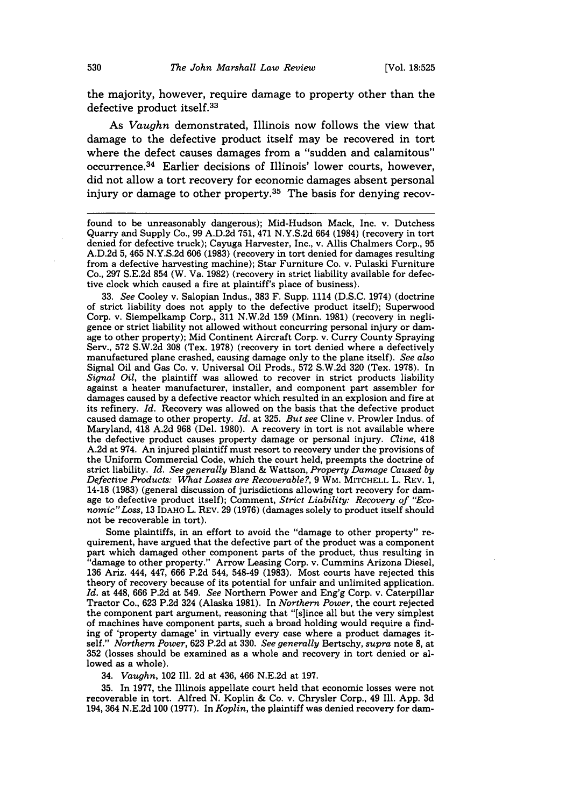the majority, however, require damage to property other than the defective product itself.33

As *Vaughn* demonstrated, Illinois now follows the view that damage to the defective product itself may be recovered in tort where the defect causes damages from a "sudden and calamitous" occurrence. 34 Earlier decisions of Illinois' lower courts, however, did not allow a tort recovery for economic damages absent personal injury or damage to other property.<sup>35</sup> The basis for denying recov-

33. *See* Cooley v. Salopian Indus., **383** F. Supp. 1114 **(D.S.C.** 1974) (doctrine of strict liability does not apply to the defective product itself); Superwood Corp. v. Siempelkamp Corp., 311 N.W.2d 159 (Minn. 1981) (recovery in negligence or strict liability not allowed without concurring personal injury or damage to other property); Mid Continent Aircraft Corp. v. Curry County Spraying Serv., 572 S.W.2d **308** (Tex. 1978) (recovery in tort denied where a defectively manufactured plane crashed, causing damage only to the plane itself). *See also* Signal Oil and Gas Co. v. Universal Oil Prods., 572 S.W.2d 320 (Tex. 1978). In *Signal Oil,* the plaintiff was allowed to recover in strict products liability against a heater manufacturer, installer, and component part assembler for damages caused by a defective reactor which resulted in an explosion and fire at its refinery. *Id.* Recovery was allowed on the basis that the defective product caused damage to other property. *Id.* at 325. *But see* Cline v. Prowler Indus. of Maryland, 418 A.2d 968 (Del. 1980). A recovery in tort is not available where the defective product causes property damage or personal injury. *Cline,* 418 A.2d at 974. An injured plaintiff must resort to recovery under the provisions of the Uniform Commercial Code, which the court held, preempts the doctrine of strict liability. *Id. See generally* Bland & Wattson, *Property Damage Caused by Defective Products: What Losses are Recoverable?,* 9 WM. MITCHELL L. REV. 1, 14-18 (1983) (general discussion of jurisdictions allowing tort recovery for damage to defective product itself); Comment, *Strict Liability: Recovery of "Economic"Loss,* 13 IDAHO L. REV. 29 (1976) (damages solely to product itself should not be recoverable in tort).

Some plaintiffs, in an effort to avoid the "damage to other property" re- quirement, have argued that the defective part of the product was a component part which damaged other component parts of the product, thus resulting in "damage to other property." Arrow Leasing Corp. v. Cummins Arizona Diesel, 136 Ariz. 444, 447, 666 P.2d 544, 548-49 (1983). Most courts have rejected this theory of recovery because of its potential for unfair and unlimited application. *Id.* at 448, 666 P.2d at 549. *See* Northern Power and Eng'g Corp. v. Caterpillar Tractor Co., 623 P.2d 324 (Alaska 1981). In *Northern Power,* the court rejected the component part argument, reasoning that "[s]ince all but the very simplest of machines have component parts, such a broad holding would require a finding of 'property damage' in virtually every case where a product damages itself." *Northern Power,* 623 P.2d at 330. *See generally* Bertschy, *supra* note **8,** at **352** (losses should be examined as a whole and recovery in tort denied or allowed as a whole).

34. *Vaughn,* 102 Ill. 2d at 436, 466 N.E.2d at 197.

35. In 1977, the Illinois appellate court held that economic losses were not recoverable in tort. Alfred N. Koplin & Co. v. Chrysler Corp., 49 Ill. App. 3d 194, 364 **N.E.2d 100 (1977).** In *Koplin,* the plaintiff was denied recovery for dam-

found to be unreasonably dangerous); Mid-Hudson Mack, Inc. v. Dutchess Quarry and Supply Co., 99 A.D.2d 751, 471 N.Y.S.2d 664 (1984) (recovery in tort denied for defective truck); Cayuga Harvester, Inc., v. Allis Chalmers Corp., 95 A.D.2d 5, 465 N.Y.S.2d 606 (1983) (recovery in tort denied for damages resulting from a defective harvesting machine); Star Furniture Co. v. Pulaski Furniture Co., 297 S.E.2d 854 (W. Va. 1982) (recovery in strict liability available for defective clock which caused a fire at plaintiff's place of business).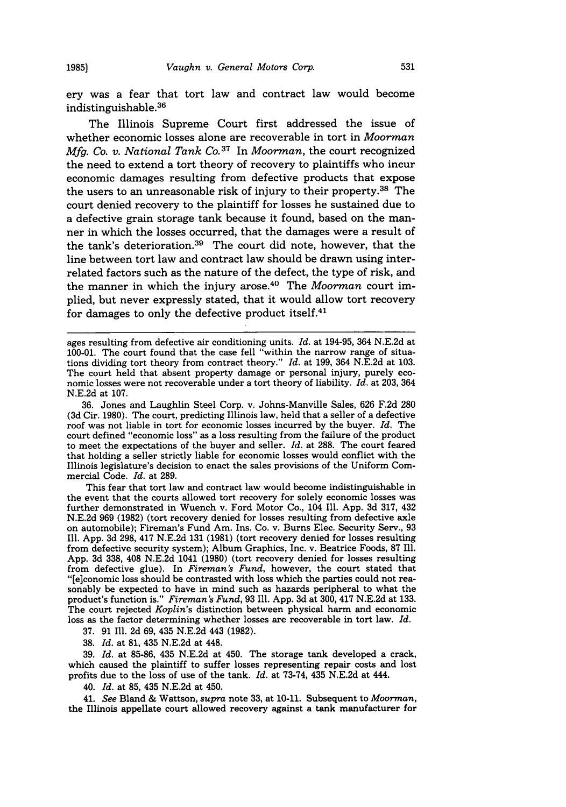ery was a fear that tort law and contract law would become indistinguishable. <sup>36</sup>

The Illinois Supreme Court first addressed the issue of whether economic losses alone are recoverable in tort in *Moorman Mfg. Co. v. National Tank Co. <sup>37</sup>*In *Moorman,* the court recognized the need to extend a tort theory of recovery to plaintiffs who incur economic damages resulting from defective products that expose the users to an unreasonable risk of injury to their property.38 The court denied recovery to the plaintiff for losses he sustained due to a defective grain storage tank because it found, based on the manner in which the losses occurred, that the damages were a result of the tank's deterioration.<sup>39</sup> The court did note, however, that the line between tort law and contract law should be drawn using interrelated factors such as the nature of the defect, the type of risk, and the manner in which the injury arose. 40 The *Moorman* court implied, but never expressly stated, that it would allow tort recovery for damages to only the defective product itself. $41$ 

36. Jones and Laughlin Steel Corp. v. Johns-Manville Sales, 626 F.2d 280 (3d Cir. 1980). The court, predicting Illinois law, held that a seller of a defective roof was not liable in tort for economic losses incurred by the buyer. *Id.* The court defined "economic loss" as a loss resulting from the failure of the product to meet the expectations of the buyer and seller. *Id.* at 288. The court feared that holding a seller strictly liable for economic losses would conflict with the Illinois legislature's decision to enact the sales provisions of the Uniform Commercial Code. *Id.* at 289.

This fear that tort law and contract law would become indistinguishable in the event that the courts allowed tort recovery for solely economic losses was further demonstrated in Wuench v. Ford Motor Co., 104 Ill. App. 3d 317, 432 N.E.2d 969 (1982) (tort recovery denied for losses resulting from defective axle on automobile); Fireman's Fund Am. Ins. Co. v. Burns Elec. Security Serv., 93 Ill. App. 3d 298, 417 N.E.2d 131 (1981) (tort recovery denied for losses resulting from defective security system); Album Graphics, Inc. v. Beatrice Foods, 87 Ill. App. 3d 338, 408 N.E.2d 1041 (1980) (tort recovery denied for losses resulting from defective glue). In *Fireman's Fund,* however, the court stated that "[e]conomic loss should be contrasted with loss which the parties could not reasonably be expected to have in mind such as hazards peripheral to what the product's function is." *Fireman's Fund,* 93 Ill. App. 3d at 300, 417 N.E.2d at 133. The court rejected *Koplin's* distinction between physical harm and economic loss as the factor determining whether losses are recoverable in tort law. *Id.*

37. 91 Ill. 2d 69, 435 N.E.2d 443 (1982).

38. *Id.* at **81,** 435 N.E.2d at 448.

39. *Id.* at 85-86, 435 N.E.2d at 450. The storage tank developed a crack, which caused the plaintiff to suffer losses representing repair costs and lost profits due to the loss of use of the tank. *Id.* at **73-74,** 435 **N.E.2d** at 444.

40. *Id.* at **85,** 435 **N.E.2d** at 450.

41. *See* Bland & Wattson, *supra* note **33,** at **10-11.** Subsequent to *Moorman,* the Illinois appellate court allowed recovery against a tank manufacturer for

ages resulting from defective air conditioning units. *Id.* at 194-95, 364 N.E.2d at 100-01. The court found that the case fell "within the narrow range of situations dividing tort theory from contract theory." *Id.* at 199, 364 N.E.2d at 103. The court held that absent property damage or personal injury, purely economic losses were not recoverable under a tort theory of liability. *Id.* at 203, 364 N.E.2d at 107.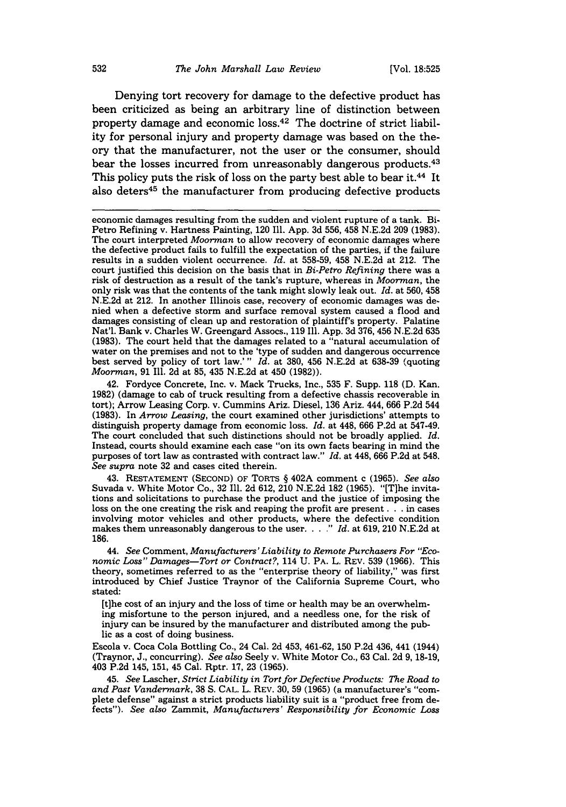Denying tort recovery for damage to the defective product has been criticized as being an arbitrary line of distinction between property damage and economic loss. 42 The doctrine of strict liability for personal injury and property damage was based on the theory that the manufacturer, not the user or the consumer, should bear the losses incurred from unreasonably dangerous products.<sup>43</sup> This policy puts the risk of loss on the party best able to bear it.<sup>44</sup> It also deters<sup>45</sup> the manufacturer from producing defective products

42. Fordyce Concrete, Inc. v. Mack Trucks, Inc., 535 F. Supp. 118 (D. Kan. 1982) (damage to cab of truck resulting from a defective chassis recoverable in tort); Arrow Leasing Corp. v. Cummins Ariz. Diesel, 136 Ariz. 444, 666 P.2d 544 (1983). In *Arrow Leasing,* the court examined other jurisdictions' attempts to distinguish property damage from economic loss. *Id.* at 448, 666 P.2d at 547-49. The court concluded that such distinctions should not be broadly applied. *Id.* Instead, courts should examine each case "on its own facts bearing in mind the purposes of tort law as contrasted with contract law." *Id.* at 448, 666 P.2d at 548. *See supra* note 32 and cases cited therein.

43. RESTATEMENT (SECOND) OF TORTS § 402A comment c (1965). *See also* Suvada v. White Motor Co., 32 Ill. 2d 612, 210 N.E.2d **182** (1965). "[T]he invitations and solicitations to purchase the product and the justice of imposing the loss on the one creating the risk and reaping the profit are present. **. .** in cases involving motor vehicles and other products, where the defective condition makes them unreasonably dangerous to the user. . . . " Id. at 619, 210 N.E.2d at 186.

44. *See* Comment, *Manufacturers'Liability to Remote Purchasers For "Economic Loss" Damages-Tort or Contract?,* 114 U. PA. L. REV. 539 (1966). This theory, sometimes referred to as the "enterprise theory of liability," was first introduced by Chief Justice Traynor of the California Supreme Court, who stated:

[t]he cost of an injury and the loss of time or health may be an overwhelming misfortune to the person injured, and a needless one, for the risk of injury can be insured by the manufacturer and distributed among the public as a cost of doing business.

Escola v. Coca Cola Bottling Co., 24 Cal. 2d 453, 461-62, 150 P.2d 436, 441 (1944) (Traynor, J., concurring). *See also* Seely v. White Motor Co., 63 Cal. 2d 9, 18-19, 403 P.2d 145, 151, 45 Cal. Rptr. 17, 23 (1965).

45. *See* Lascher, *Strict Liability in Tort for Defective Products: The Road to and Past Vandermark,* 38 **S.** CAL. L. REV. 30, 59 (1965) (a manufacturer's "complete defense" against a strict products liability suit is a "product free from defects"). *See also* Zammit, *Manufacturers' Responsibility for Economic Loss*

economic damages resulting from the sudden and violent rupture of a tank. Bi-Petro Refining v. Hartness Painting, 120 Ill. App. 3d 556, 458 N.E.2d 209 (1983). The court interpreted *Moorman* to allow recovery of economic damages where the defective product fails to fulfill the expectation of the parties, if the failure results in a sudden violent occurrence. *Id.* at 558-59, 458 N.E.2d at 212. The court justified this decision on the basis that in *Bi-Petro Refining* there was a risk of destruction as a result of the tank's rupture, whereas in *Moorman,* the only risk was that the contents of the tank might slowly leak out. *Id.* at 560, 458 N.E.2d at 212. In another Illinois case, recovery of economic damages was denied when a defective storm and surface removal system caused a flood and damages consisting of clean up and restoration of plaintiff's property. Palatine Nat'l. Bank v. Charles W. Greengard Assocs., 119 Ill. App. 3d 376, 456 N.E.2d 635 (1983). The court held that the damages related to a "natural accumulation of water on the premises and not to the 'type of sudden and dangerous occurrence best served by policy of tort law.'" *Id.* at 380, 456 N.E.2d at 638-39 (quoting *Moorman,* 91 Ill. 2d at **85,** 435 N.E.2d at 450 (1982)).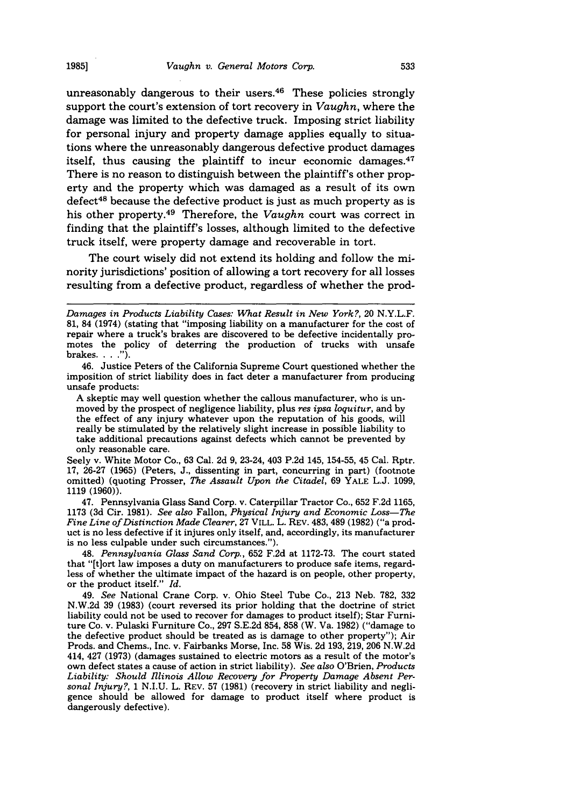unreasonably dangerous to their users.<sup>46</sup> These policies strongly support the court's extension of tort recovery in *Vaughn,* where the damage was limited to the defective truck. Imposing strict liability for personal injury and property damage applies equally to situations where the unreasonably dangerous defective product damages itself, thus causing the plaintiff to incur economic damages. $47$ There is no reason to distinguish between the plaintiff's other property and the property which was damaged as a result of its own defect<sup>48</sup> because the defective product is just as much property as is his other property.49 Therefore, the *Vaughn* court was correct in finding that the plaintiff's losses, although limited to the defective truck itself, were property damage and recoverable in tort.

The court wisely did not extend its holding and follow the minority jurisdictions' position of allowing a tort recovery for all losses resulting from a defective product, regardless of whether the prod-

Seely v. White Motor Co., 63 Cal. 2d 9, 23-24, 403 P.2d 145, 154-55, 45 Cal. Rptr. 17, 26-27 (1965) (Peters, J., dissenting in part, concurring in part) (footnote omitted) (quoting Prosser, *The Assault Upon the Citadel,* 69 YALE L.J. 1099, 1119 (1960)).

47. Pennsylvania Glass Sand Corp. v. Caterpillar Tractor Co., 652 F.2d 1165, 1173 (3d Cir. 1981). *See also* Fallon, *Physical Injury and Economic Loss-The Fine Line of Distinction Made Clearer,* 27 VILL. L. REV. 483, 489 (1982) ("a product is no less defective if it injures only itself, and, accordingly, its manufacturer is no less culpable under such circumstances.").

48. *Pennsylvania Glass Sand Corp.,* 652 F.2d at 1172-73. The court stated that "[t]ort law imposes a duty on manufacturers to produce safe items, regardless of whether the ultimate impact of the hazard is on people, other property, or the product itself." *Id.*

49. *See* National Crane Corp. v. Ohio Steel Tube Co., 213 Neb. 782, 332 N.W.2d 39 (1983) (court reversed its prior holding that the doctrine of strict liability could not be used to recover for damages to product itself); Star Furniture Co. v. Pulaski Furniture Co., 297 S.E.2d 854, 858 (W. Va. 1982) ("damage to the defective product should be treated as is damage to other property"); Air Prods. and Chems., Inc. v. Fairbanks Morse, Inc. **58** Wis. 2d 193, 219, 206 N.W.2d 414, 427 (1973) (damages sustained to electric motors as a result of the motor's own defect states a cause of action in strict liability). *See also* O'Brien, *Products Liability: Should Illinois Allow Recovery for Property Damage Absent Personal Injury?,* 1 N.I.U. L. REV. 57 (1981) (recovery in strict liability and negligence should be allowed for damage to product itself where product is dangerously defective).

*Damages in Products Liability Cases: What Result in New York?,* 20 N.Y.L.F. 81, 84 (1974) (stating that "imposing liability on a manufacturer for the cost of repair where a truck's brakes are discovered to be defective incidentally promotes the policy of deterring the production of trucks with unsafe brakes **.. ").**

<sup>46.</sup> Justice Peters of the California Supreme Court questioned whether the imposition of strict liability does in fact deter a manufacturer from producing unsafe products:

A skeptic may well question whether the callous manufacturer, who is un- moved by the prospect of negligence liability, plus *res ipsa loquitur,* and by the effect of any injury whatever upon the reputation of his goods, will really be stimulated by the relatively slight increase in possible liability to take additional precautions against defects which cannot be prevented by only reasonable care.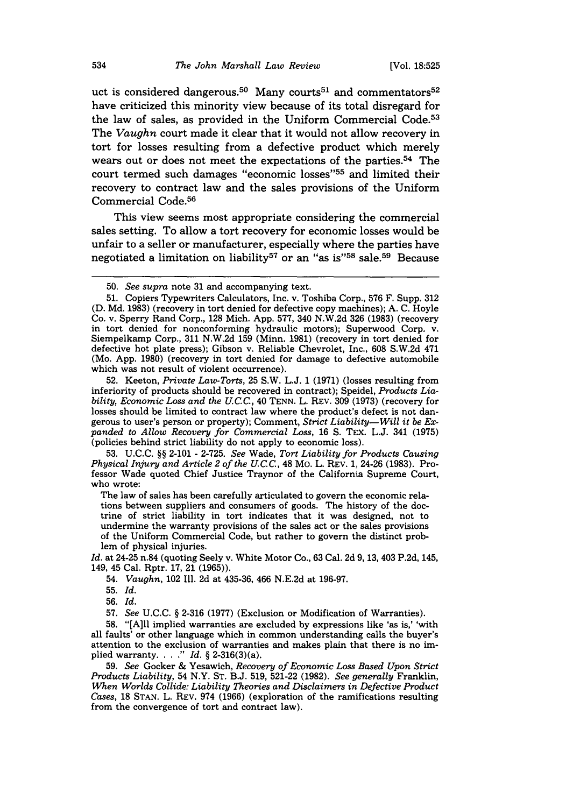uct is considered dangerous.<sup>50</sup> Many courts<sup>51</sup> and commentators<sup>52</sup> have criticized this minority view because of its total disregard for the law of sales, as provided in the Uniform Commercial Code.<sup>53</sup> The *Vaughn* court made it clear that it would not allow recovery in tort for losses resulting from a defective product which merely wears out or does not meet the expectations of the parties.<sup>54</sup> The court termed such damages "economic losses"<sup>55</sup> and limited their recovery to contract law and the sales provisions of the Uniform Commercial Code. <sup>56</sup>

This view seems most appropriate considering the commercial sales setting. To allow a tort recovery for economic losses would be unfair to a seller or manufacturer, especially where the parties have negotiated a limitation on liability<sup>57</sup> or an "as is"<sup>58</sup> sale.<sup>59</sup> Because

52. Keeton, *Private Law-Torts,* 25 S.W. L.J. 1 (1971) (losses resulting from inferiority of products should be recovered in contract); Speidel, *Products Liability, Economic Loss and the U.C.C.,* 40 TENN. L. REV. 309 (1973) (recovery for losses should be limited to contract law where the product's defect is not dangerous to user's person or property); Comment, *Strict Liability-Will it be Expanded to Allow Recovery for Commercial Loss,* 16 **S.** TEX. L.J. 341 (1975) (policies behind strict liability do not apply to economic loss).

53. U.C.C. §§ 2-101 - 2-725. *See* Wade, *Tort Liability for Products Causing Physical Injury and Article 2 of the UCC,* 48 Mo. L. REV. 1, 24-26 (1983). Professor Wade quoted Chief Justice Traynor of the California Supreme Court, who wrote:

The law of sales has been carefully articulated to govern the economic relations between suppliers and consumers of goods. The history of the doctrine of strict liability in tort indicates that it was designed, not to undermine the warranty provisions of the sales act or the sales provisions of the Uniform Commercial Code, but rather to govern the distinct problem of physical injuries.

*Id.* at 24-25 n.84 (quoting Seely v. White Motor Co., 63 Cal. 2d 9, 13, 403 P.2d, 145, 149, 45 Cal. Rptr. 17, 21 (1965)).

54. *Vaughn,* 102 Ill. 2d at 435-36, 466 N.E.2d at 196-97.

55. *Id.*

56. *Id.*

**57.** *See* U.C.C. § **2-316** (1977) (Exclusion or Modification of Warranties).

58. "[A]ll implied warranties are excluded by expressions like 'as is,' 'with all faults' or other language which in common understanding calls the buyer's attention to the exclusion of warranties and makes plain that there is no implied warranty **..** *" Id.* § 2-316(3)(a).

59. *See* Gocker & Yesawich, *Recovery of Economic Loss Based Upon Strict Products Liability,* 54 N.Y. ST. B.J. 519, 521-22 (1982). *See generally* Franklin, *When Worlds Collide: Liability* Theories *and Disclaimers in Defective Product Cases,* 18 STAN. L. REV. 974 (1966) (exploration of the ramifications resulting from the convergence of tort and contract law).

<sup>50.</sup> *See supra* note 31 and accompanying text.

<sup>51.</sup> Copiers Typewriters Calculators, Inc. v. Toshiba Corp., 576 F. Supp. 312 (D. Md. 1983) (recovery in tort denied for defective copy machines); A. C. Hoyle Co. v. Sperry Rand Corp., 128 Mich. App. 577, 340 N.W.2d 326 (1983) (recovery in tort denied for nonconforming hydraulic motors); Superwood Corp. v. Siempelkamp Corp., 311 N.W.2d 159 (Minn. 1981) (recovery in tort denied for defective hot plate press); Gibson v. Reliable Chevrolet, Inc., 608 S.W.2d 471 (Mo. App. 1980) (recovery in tort denied for damage to defective automobile which was not result of violent occurrence).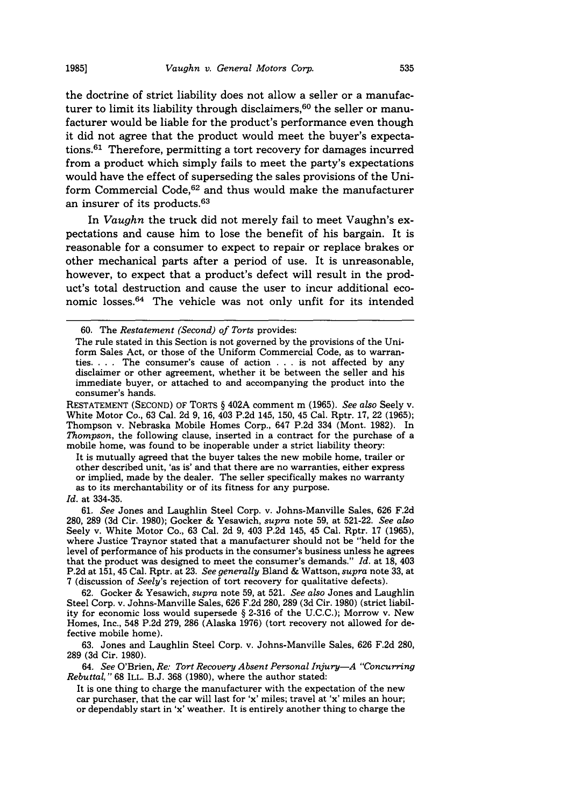the doctrine of strict liability does not allow a seller or a manufacturer to limit its liability through disclaimers, 60 the seller or manufacturer would be liable for the product's performance even though it did not agree that the product would meet the buyer's expectations. $61$  Therefore, permitting a tort recovery for damages incurred from a product which simply fails to meet the party's expectations would have the effect of superseding the sales provisions of the Uniform Commercial Code,<sup>62</sup> and thus would make the manufacturer an insurer of its products. <sup>63</sup>

In *Vaughn* the truck did not merely fail to meet Vaughn's expectations and cause him to lose the benefit of his bargain. It is reasonable for a consumer to expect to repair or replace brakes or other mechanical parts after a period of use. It is unreasonable, however, to expect that a product's defect will result in the product's total destruction and cause the user to incur additional economic losses.64 The vehicle was not only unfit for its intended

RESTATEMENT (SECOND) OF TORTS § 402A comment m (1965). *See also* Seely v. White Motor Co., 63 Cal. 2d 9, 16, 403 P.2d 145, 150, 45 Cal. Rptr. 17, 22 (1965); Thompson v. Nebraska Mobile Homes Corp., 647 P.2d 334 (Mont. 1982). In *Thompson,* the following clause, inserted in a contract for the purchase of a mobile home, was found to be inoperable under a strict liability theory:

It is mutually agreed that the buyer takes the new mobile home, trailer or other described unit, 'as is' and that there are no warranties, either express or implied, made by the dealer. The seller specifically makes no warranty as to its merchantability or of its fitness for any purpose.

62. Gocker & Yesawich, *supra* note 59, at 521. *See also* Jones and Laughlin Steel Corp. v. Johns-Manville Sales, 626 F.2d 280, 289 (3d Cir. 1980) (strict liability for economic loss would supersede § 2-316 of the U.C.C.); Morrow v. New Homes, Inc., 548 P.2d 279, 286 (Alaska 1976) (tort recovery not allowed for defective mobile home).

63. Jones and Laughlin Steel Corp. v. Johns-Manville Sales, 626 F.2d 280, 289 (3d Cir. 1980).

64. *See* O'Brien, *Re. Tort Recovery Absent Personal Injury-A "Concurring Rebuttal,"* 68 ILL. B.J. 368 (1980), where the author stated:

It is one thing to charge the manufacturer with the expectation of the new car purchaser, that the car will last for 'x' miles; travel at 'x' miles an hour; or dependably start in 'x' weather. It is entirely another thing to charge the

<sup>60.</sup> The *Restatement (Second) of Torts* provides:

The rule stated in this Section is not governed by the provisions of the Uniform Sales Act, or those of the Uniform Commercial Code, as to warranties. . **.** . The consumer's cause of action . **.** . is not affected by any disclaimer or other agreement, whether it be between the seller and his immediate buyer, or attached to and accompanying the product into the consumer's hands.

*Id.* at 334-35.

<sup>61.</sup> *See* Jones and Laughlin Steel Corp. v. Johns-Manville Sales, 626 F.2d 280, 289 (3d Cir. 1980); Gocker & Yesawich, *supra* note 59, at 521-22. *See also* Seely v. White Motor Co., 63 Cal. 2d 9, 403 P.2d 145, 45 Cal. Rptr. 17 (1965), where Justice Traynor stated that a manufacturer should not be "held for the level of performance of his products in the consumer's business unless he agrees that the product was designed to meet the consumer's demands." *Id.* at 18, 403 P.2d at 151, 45 Cal. Rptr. at 23. *See generally* Bland & Wattson, *supra* note 33, at 7 (discussion of *Seely's* rejection of tort recovery for qualitative defects).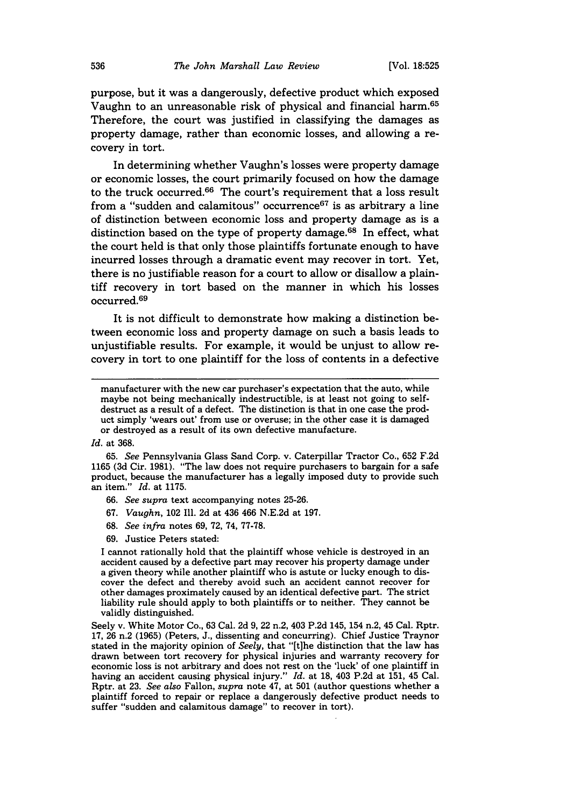purpose, but it was a dangerously, defective product which exposed Vaughn to an unreasonable risk of physical and financial harm.65 Therefore, the court was justified in classifying the damages as property damage, rather than economic losses, and allowing a recovery in tort.

In determining whether Vaughn's losses were property damage or economic losses, the court primarily focused on how the damage to the truck occurred.<sup>66</sup> The court's requirement that a loss result from a "sudden and calamitous" occurrence $67$  is as arbitrary a line of distinction between economic loss and property damage as is a distinction based on the type of property damage.<sup>68</sup> In effect, what the court held is that only those plaintiffs fortunate enough to have incurred losses through a dramatic event may recover in tort. Yet, there is no justifiable reason for a court to allow or disallow a plaintiff recovery in tort based on the manner in which his losses occurred. <sup>69</sup>

It is not difficult to demonstrate how making a distinction between economic loss and property damage on such a basis leads to unjustifiable results. For example, it would be unjust to allow recovery in tort to one plaintiff for the loss of contents in a defective

- 66. *See supra* text accompanying notes 25-26.
- 67. *Vaughn,* 102 Ill. 2d at 436 466 N.E.2d at 197.
- **68.** *See infra* notes 69, 72, 74, 77-78.
- 69. Justice Peters stated:

I cannot rationally hold that the plaintiff whose vehicle is destroyed in an accident caused by a defective part may recover his property damage under a given theory while another plaintiff who is astute or lucky enough to discover the defect and thereby avoid such an accident cannot recover for other damages proximately caused by an identical defective part. The strict liability rule should apply to both plaintiffs or to neither. They cannot be validly distinguished.

manufacturer with the new car purchaser's expectation that the auto, while maybe not being mechanically indestructible, is at least not going to selfdestruct as a result of a defect. The distinction is that in one case the product simply 'wears out' from use or overuse; in the other case it is damaged or destroyed as a result of its own defective manufacture.

*Id.* at 368.

<sup>65.</sup> *See* Pennsylvania Glass Sand Corp. v. Caterpillar Tractor Co., 652 F.2d 1165 (3d Cir. 1981). "The law does not require purchasers to bargain for a safe product, because the manufacturer has a legally imposed duty to provide such an item." *Id.* at 1175.

Seely v. White Motor Co., 63 Cal. 2d 9, 22 n.2, 403 P.2d 145, 154 n.2, 45 Cal. Rptr. 17, 26 n.2 (1965) (Peters, J., dissenting and concurring). Chief Justice Traynor stated in the majority opinion of *Seely,* that "[t]he distinction that the law has drawn between tort recovery for physical injuries and warranty recovery for economic loss is not arbitrary and does not rest on the 'luck' of one plaintiff in having an accident causing physical injury." *Id.* at 18, 403 P.2d at 151, 45 Cal. Rptr. at 23. *See also* Fallon, *supra* note 47, at 501 (author questions whether a plaintiff forced to repair or replace a dangerously defective product needs to suffer "sudden and calamitous damage" to recover in tort).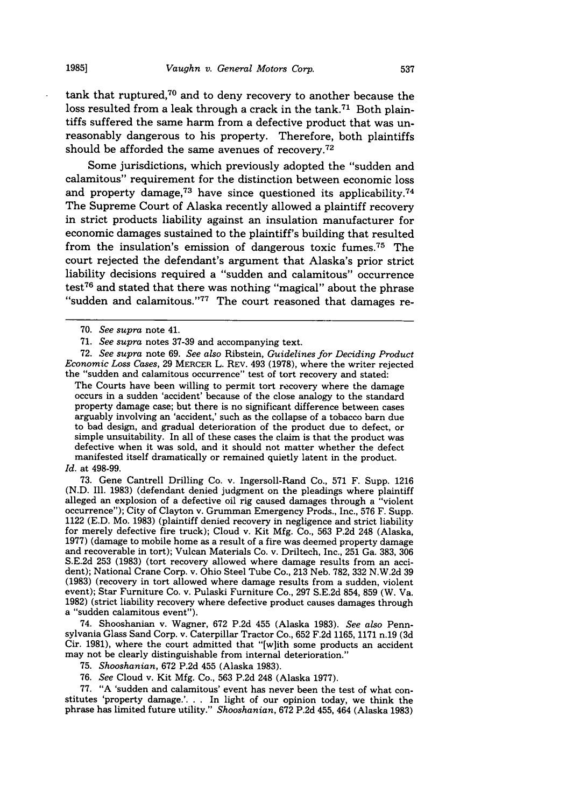tank that ruptured,70 and to deny recovery to another because the loss resulted from a leak through a crack in the tank.<sup>71</sup> Both plaintiffs suffered the same harm from a defective product that was unreasonably dangerous to his property. Therefore, both plaintiffs should be afforded the same avenues of recovery.<sup>72</sup>

Some jurisdictions, which previously adopted the "sudden and calamitous" requirement for the distinction between economic loss and property damage, $73$  have since questioned its applicability. $74$ The Supreme Court of Alaska recently allowed a plaintiff recovery in strict products liability against an insulation manufacturer for economic damages sustained to the plaintiff's building that resulted from the insulation's emission of dangerous toxic fumes.<sup>75</sup> The court rejected the defendant's argument that Alaska's prior strict liability decisions required a "sudden and calamitous" occurrence test<sup>76</sup> and stated that there was nothing "magical" about the phrase "sudden and calamitous."<sup>77</sup> The court reasoned that damages re-

72. *See supra* note 69. *See also* Ribstein, *Guidelines for Deciding Product Economic Loss Cases,* 29 MERCER L. REV. 493 (1978), where the writer rejected the "sudden and calamitous occurrence" test of tort recovery and stated:

The Courts have been willing to permit tort recovery where the damage occurs in a sudden 'accident' because of the close analogy to the standard property damage case; but there is no significant difference between cases arguably involving an 'accident,' such as the collapse of a tobacco barn due to bad design, and gradual deterioration of the product due to defect, or simple unsuitability. In all of these cases the claim is that the product was defective when it was sold, and it should not matter whether the defect manifested itself dramatically or remained quietly latent in the product.

#### *Id.* at 498-99.

73. Gene Cantrell Drilling Co. v. Ingersoll-Rand Co., 571 F. Supp. 1216 (N.D. Ill. 1983) (defendant denied judgment on the pleadings where plaintiff alleged an explosion of a defective oil rig caused damages through a "violent occurrence"); City of Clayton v. Grumman Emergency Prods., Inc., 576 F. Supp. 1122 (E.D. Mo. 1983) (plaintiff denied recovery in negligence and strict liability for merely defective fire truck); Cloud v. Kit Mfg. Co., 563 P.2d 248 (Alaska, 1977) (damage to mobile home as a result of a fire was deemed property damage and recoverable in tort); Vulcan Materials Co. v. Driltech, Inc., 251 Ga. 383, 306 S.E.2d 253 (1983) (tort recovery allowed where damage results from an accident); National Crane Corp. v. Ohio Steel Tube Co., 213 Neb. 782, 332 N.W.2d 39 (1983) (recovery in tort allowed where damage results from a sudden, violent event); Star Furniture Co. v. Pulaski Furniture Co., 297 S.E.2d 854, 859 (W. Va. 1982) (strict liability recovery where defective product causes damages through a "sudden calamitous event").

74. Shooshanian v. Wagner, 672 P.2d 455 (Alaska 1983). *See also* Pennsylvania Glass Sand Corp. v. Caterpillar Tractor Co., 652 F.2d 1165, 1171 n.19 (3d Cir. 1981), where the court admitted that "[w]ith some products an accident may not be clearly distinguishable from internal deterioration."

75. *Shooshanian,* 672 P.2d 455 (Alaska 1983).

76. *See* Cloud v. Kit Mfg. Co., 563 P.2d 248 (Alaska 1977).

77. "A 'sudden and calamitous' event has never been the test of what constitutes 'property damage.'. **.** . In light of our opinion today, we think the phrase has limited future utility." *Shooshanian,* 672 P.2d 455, 464 (Alaska 1983)

<sup>70.</sup> *See supra* note 41.

<sup>71.</sup> *See supra* notes 37-39 and accompanying text.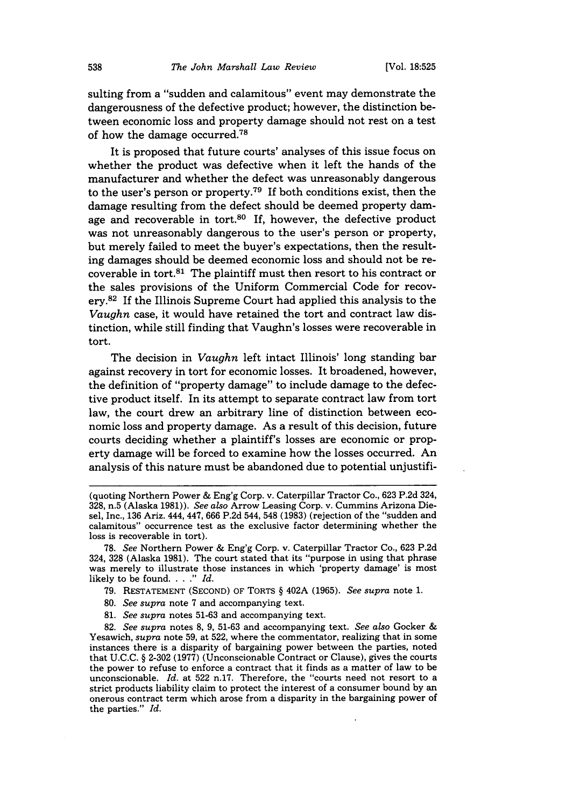sulting from a "sudden and calamitous" event may demonstrate the dangerousness of the defective product; however, the distinction between economic loss and property damage should not rest on a test of how the damage occurred.<sup>78</sup>

It is proposed that future courts' analyses of this issue focus on whether the product was defective when it left the hands of the manufacturer and whether the defect was unreasonably dangerous to the user's person or property.<sup>79</sup> If both conditions exist, then the damage resulting from the defect should be deemed property damage and recoverable in tort.<sup>80</sup> If, however, the defective product was not unreasonably dangerous to the user's person or property, but merely failed to meet the buyer's expectations, then the resulting damages should be deemed economic loss and should not be recoverable in tort. $81$  The plaintiff must then resort to his contract or the sales provisions of the Uniform Commercial Code for recovery.<sup>82</sup> If the Illinois Supreme Court had applied this analysis to the *Vaughn* case, it would have retained the tort and contract law distinction, while still finding that Vaughn's losses were recoverable in tort.

The decision in *Vaughn* left intact Illinois' long standing bar against recovery in tort for economic losses. It broadened, however, the definition of "property damage" to include damage to the defective product itself. In its attempt to separate contract law from tort law, the court drew an arbitrary line of distinction between economic loss and property damage. As a result of this decision, future courts deciding whether a plaintiff's losses are economic or property damage will be forced to examine how the losses occurred. An analysis of this nature must be abandoned due to potential unjustifi-

- **80.** *See supra* note **7** and accompanying text.
- **81.** *See supra* notes **51-63** and accompanying text.

**82.** *See supra* notes **8, 9, 51-63** and accompanying text. *See also* Gocker **&** Yesawich, *supra* note **59,** at **522,** where the commentator, realizing that in some instances there is a disparity of bargaining power between the parties, noted that **U.C.C. § 2-302 (1977)** (Unconscionable Contract or Clause), gives the courts the power to refuse to enforce a contract that it finds as a matter of law to be unconscionable. *Id.* at **522** n.17. Therefore, the "courts need not resort to a strict products liability claim to protect the interest of a consumer bound **by** an onerous contract term which arose from a disparity in the bargaining power of the parties." *Id.*

<sup>(</sup>quoting Northern Power **&** Eng'g Corp. v. Caterpillar Tractor Co., **623 P.2d** 324, **328,** n.5 (Alaska **1981)).** *See also* Arrow Leasing Corp. v. Cummins Arizona Diesel, Inc., **136** Ariz. 444, 447, **666 P.2d** 544, 548 **(1983)** (rejection of the "sudden and calamitous" occurrence test as the exclusive factor determining whether the loss is recoverable in tort).

**<sup>78.</sup>** *See* Northern Power **&** Eng'g Corp. v. Caterpillar Tractor Co., **623 P.2d** 324, **328** (Alaska **1981).** The court stated that its "purpose in using that phrase was merely to illustrate those instances in which 'property damage' is most likely to be found **..** *" Id.*

**<sup>79.</sup> RESTATEMENT (SECOND)** OF TORTS **§** 402A **(1965).** *See supra* note **1.**